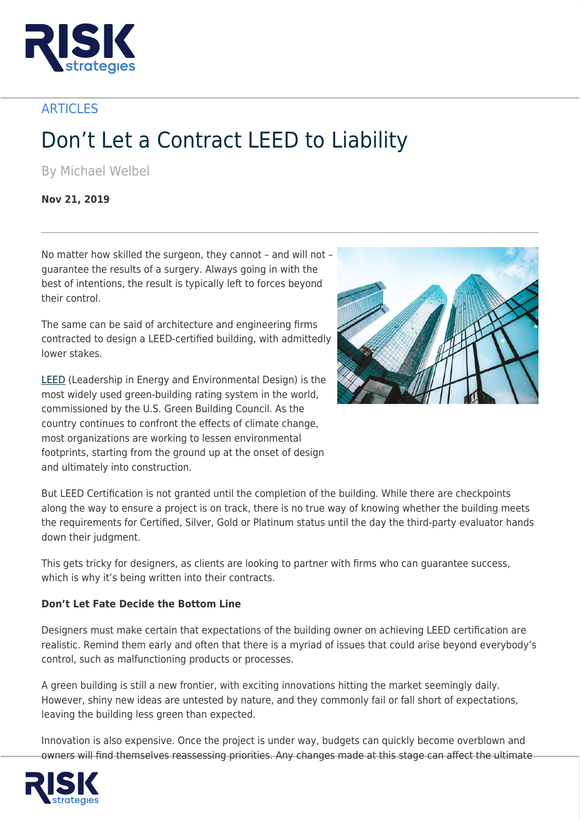

**ARTICLES** 

## Don't Let a Contract LEED to Liability

By Michael Welbel

**Nov 21, 2019**

No matter how skilled the surgeon, they cannot – and will not – guarantee the results of a surgery. Always going in with the best of intentions, the result is typically left to forces beyond their control.

The same can be said of architecture and engineering firms contracted to design a LEED-certified building, with admittedly lower stakes.

[LEED](https://www.usgbc.org/help/what-leed) (Leadership in Energy and Environmental Design) is the most widely used green-building rating system in the world, commissioned by the U.S. Green Building Council. As the country continues to confront the effects of climate change, most organizations are working to lessen environmental footprints, starting from the ground up at the onset of design and ultimately into construction.



But LEED Certification is not granted until the completion of the building. While there are checkpoints along the way to ensure a project is on track, there is no true way of knowing whether the building meets the requirements for Certified, Silver, Gold or Platinum status until the day the third-party evaluator hands down their judgment.

This gets tricky for designers, as clients are looking to partner with firms who can guarantee success, which is why it's being written into their contracts.

## **Don't Let Fate Decide the Bottom Line**

Designers must make certain that expectations of the building owner on achieving LEED certification are realistic. Remind them early and often that there is a myriad of issues that could arise beyond everybody's control, such as malfunctioning products or processes.

A green building is still a new frontier, with exciting innovations hitting the market seemingly daily. However, shiny new ideas are untested by nature, and they commonly fail or fall short of expectations, leaving the building less green than expected.

Innovation is also expensive. Once the project is under way, budgets can quickly become overblown and owners will find themselves reassessing priorities. Any changes made at this stage can affect the ultimate